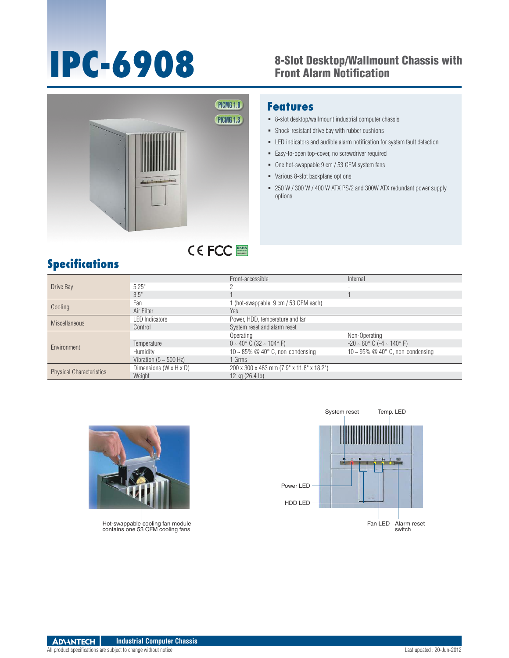## **IPC-6908** 8-Slot Desktop/Wallmount Chassis with Front Alarm Notification



### **Features**

- 8-slot desktop/wallmount industrial computer chassis
- Shock-resistant drive bay with rubber cushions
- LED indicators and audible alarm notification for system fault detection
- Easy-to-open top-cover, no screwdriver required
- One hot-swappable 9 cm / 53 CFM system fans
- Various 8-slot backplane options
- 250 W / 300 W / 400 W ATX PS/2 and 300W ATX redundant power supply options

## **Specifications**

| Drive Bay                       |                                    | Front-accessible                                | Internal                                           |
|---------------------------------|------------------------------------|-------------------------------------------------|----------------------------------------------------|
|                                 | 5.25"                              | $\overline{\phantom{0}}$                        |                                                    |
|                                 | 3.5"                               |                                                 |                                                    |
| Cooling                         | Fan                                | 1 (hot-swappable, 9 cm / 53 CFM each)           |                                                    |
|                                 | Air Filter                         | <b>Yes</b>                                      |                                                    |
| <b>Miscellaneous</b>            | <b>LED Indicators</b>              | Power, HDD, temperature and fan                 |                                                    |
|                                 | Control                            | System reset and alarm reset                    |                                                    |
| Environment                     |                                    | Operating                                       | Non-Operating                                      |
|                                 | Temperature                        | $0 \sim 40^{\circ}$ C (32 $\sim 104^{\circ}$ F) | $-20 \sim 60^{\circ}$ C ( $-4 \sim 140^{\circ}$ F) |
|                                 | Humidity                           | 10 ~ 85% $@$ 40 $^{\circ}$ C, non-condensing    | 10 ~ 95% $@$ 40 $^{\circ}$ C, non-condensing       |
|                                 | Vibration ( $5 \sim 500$ Hz)       | 1 Grms                                          |                                                    |
| <b>Physical Characteristics</b> | Dimensions $(W \times H \times D)$ | 200 x 300 x 463 mm (7.9" x 11.8" x 18.2")       |                                                    |
|                                 | Weight                             | 12 kg (26.4 lb)                                 |                                                    |

RoHS **COMPLIANT 2002/95/EC**



Hot-swappable cooling fan module contains one 53 CFM cooling fans